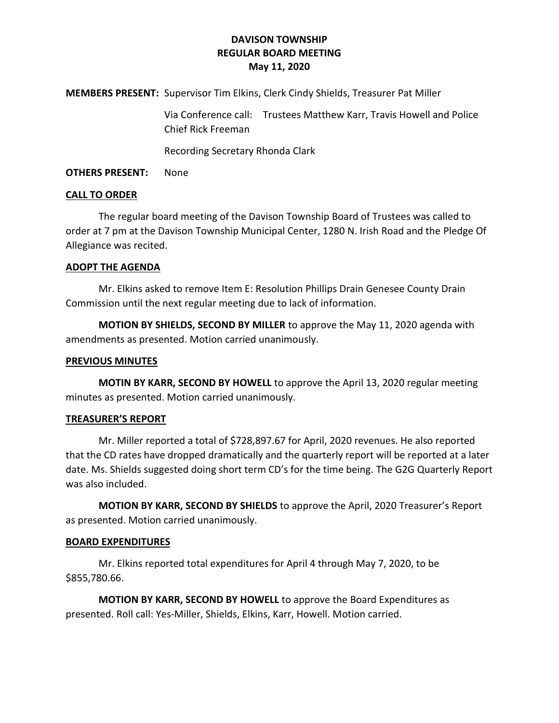# **DAVISON TOWNSHIP REGULAR BOARD MEETING May 11, 2020**

**MEMBERS PRESENT:** Supervisor Tim Elkins, Clerk Cindy Shields, Treasurer Pat Miller

Via Conference call: Trustees Matthew Karr, Travis Howell and Police Chief Rick Freeman

Recording Secretary Rhonda Clark

**OTHERS PRESENT:** None

#### **CALL TO ORDER**

The regular board meeting of the Davison Township Board of Trustees was called to order at 7 pm at the Davison Township Municipal Center, 1280 N. Irish Road and the Pledge Of Allegiance was recited.

#### **ADOPT THE AGENDA**

Mr. Elkins asked to remove Item E: Resolution Phillips Drain Genesee County Drain Commission until the next regular meeting due to lack of information.

**MOTION BY SHIELDS, SECOND BY MILLER** to approve the May 11, 2020 agenda with amendments as presented. Motion carried unanimously.

## **PREVIOUS MINUTES**

**MOTIN BY KARR, SECOND BY HOWELL** to approve the April 13, 2020 regular meeting minutes as presented. Motion carried unanimously.

## **TREASURER'S REPORT**

Mr. Miller reported a total of \$728,897.67 for April, 2020 revenues. He also reported that the CD rates have dropped dramatically and the quarterly report will be reported at a later date. Ms. Shields suggested doing short term CD's for the time being. The G2G Quarterly Report was also included.

**MOTION BY KARR, SECOND BY SHIELDS** to approve the April, 2020 Treasurer's Report as presented. Motion carried unanimously.

## **BOARD EXPENDITURES**

Mr. Elkins reported total expenditures for April 4 through May 7, 2020, to be \$855,780.66.

**MOTION BY KARR, SECOND BY HOWELL** to approve the Board Expenditures as presented. Roll call: Yes-Miller, Shields, Elkins, Karr, Howell. Motion carried.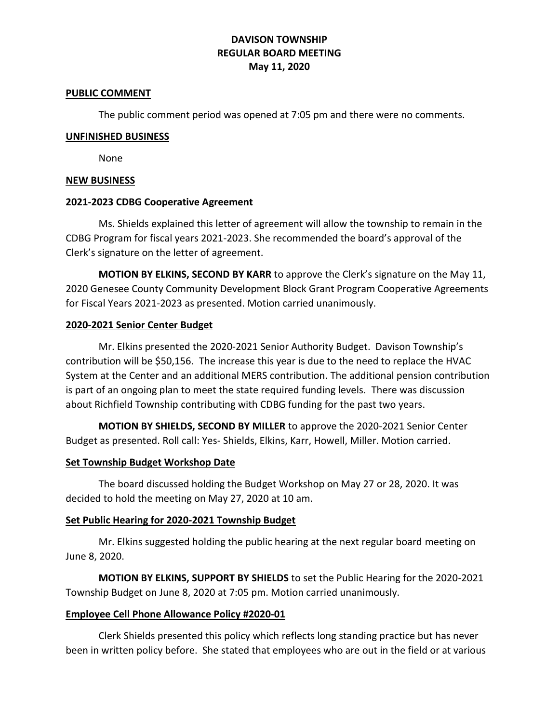# **DAVISON TOWNSHIP REGULAR BOARD MEETING May 11, 2020**

#### **PUBLIC COMMENT**

The public comment period was opened at 7:05 pm and there were no comments.

#### **UNFINISHED BUSINESS**

None

## **NEW BUSINESS**

## **2021-2023 CDBG Cooperative Agreement**

Ms. Shields explained this letter of agreement will allow the township to remain in the CDBG Program for fiscal years 2021-2023. She recommended the board's approval of the Clerk's signature on the letter of agreement.

**MOTION BY ELKINS, SECOND BY KARR** to approve the Clerk's signature on the May 11, 2020 Genesee County Community Development Block Grant Program Cooperative Agreements for Fiscal Years 2021-2023 as presented. Motion carried unanimously.

## **2020-2021 Senior Center Budget**

Mr. Elkins presented the 2020-2021 Senior Authority Budget. Davison Township's contribution will be \$50,156. The increase this year is due to the need to replace the HVAC System at the Center and an additional MERS contribution. The additional pension contribution is part of an ongoing plan to meet the state required funding levels. There was discussion about Richfield Township contributing with CDBG funding for the past two years.

**MOTION BY SHIELDS, SECOND BY MILLER** to approve the 2020-2021 Senior Center Budget as presented. Roll call: Yes- Shields, Elkins, Karr, Howell, Miller. Motion carried.

## **Set Township Budget Workshop Date**

The board discussed holding the Budget Workshop on May 27 or 28, 2020. It was decided to hold the meeting on May 27, 2020 at 10 am.

## **Set Public Hearing for 2020-2021 Township Budget**

Mr. Elkins suggested holding the public hearing at the next regular board meeting on June 8, 2020.

**MOTION BY ELKINS, SUPPORT BY SHIELDS** to set the Public Hearing for the 2020-2021 Township Budget on June 8, 2020 at 7:05 pm. Motion carried unanimously.

## **Employee Cell Phone Allowance Policy #2020-01**

Clerk Shields presented this policy which reflects long standing practice but has never been in written policy before. She stated that employees who are out in the field or at various